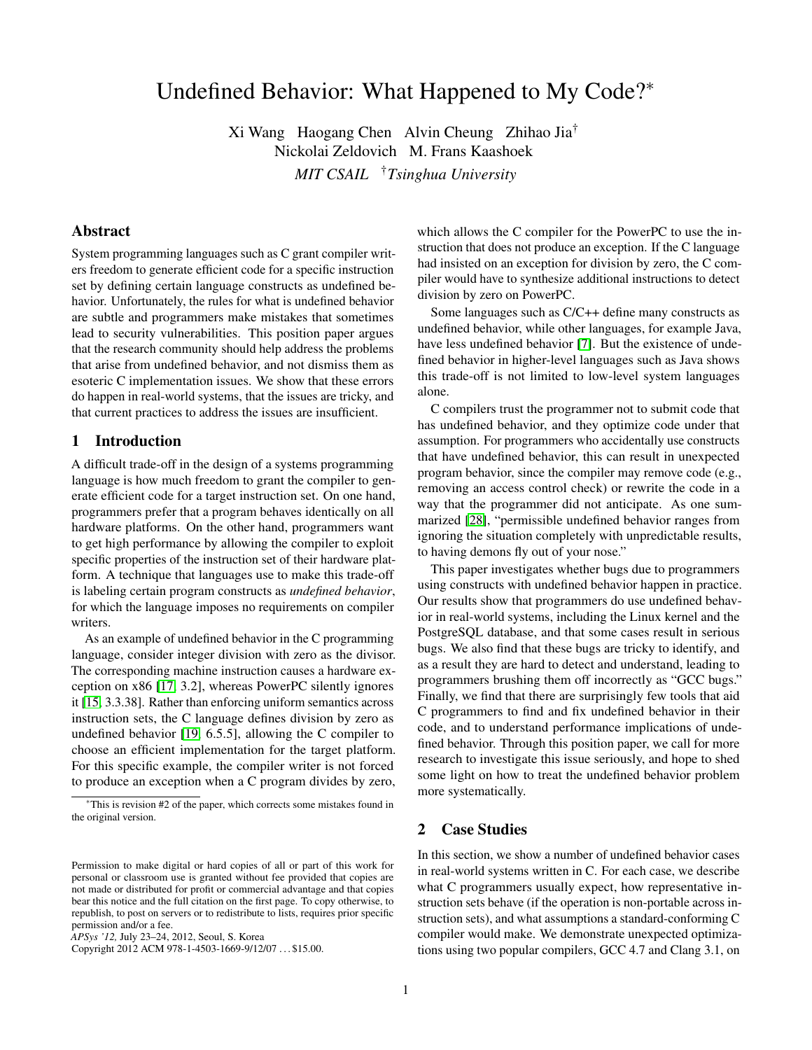# Undefined Behavior: What Happened to My Code?<sup>∗</sup>

Xi Wang Haogang Chen Alvin Cheung Zhihao Jia† Nickolai Zeldovich M. Frans Kaashoek *MIT CSAIL* †*Tsinghua University*

#### Abstract

System programming languages such as C grant compiler writers freedom to generate efficient code for a specific instruction set by defining certain language constructs as undefined behavior. Unfortunately, the rules for what is undefined behavior are subtle and programmers make mistakes that sometimes lead to security vulnerabilities. This position paper argues that the research community should help address the problems that arise from undefined behavior, and not dismiss them as esoteric C implementation issues. We show that these errors do happen in real-world systems, that the issues are tricky, and that current practices to address the issues are insufficient.

# 1 Introduction

A difficult trade-off in the design of a systems programming language is how much freedom to grant the compiler to generate efficient code for a target instruction set. On one hand, programmers prefer that a program behaves identically on all hardware platforms. On the other hand, programmers want to get high performance by allowing the compiler to exploit specific properties of the instruction set of their hardware platform. A technique that languages use to make this trade-off is labeling certain program constructs as *undefined behavior*, for which the language imposes no requirements on compiler writers.

As an example of undefined behavior in the C programming language, consider integer division with zero as the divisor. The corresponding machine instruction causes a hardware exception on x86 [\[17,](#page-5-0) 3.2], whereas PowerPC silently ignores it [\[15,](#page-5-1) 3.3.38]. Rather than enforcing uniform semantics across instruction sets, the C language defines division by zero as undefined behavior [\[19,](#page-5-2) 6.5.5], allowing the C compiler to choose an efficient implementation for the target platform. For this specific example, the compiler writer is not forced to produce an exception when a C program divides by zero, which allows the C compiler for the PowerPC to use the instruction that does not produce an exception. If the C language had insisted on an exception for division by zero, the C compiler would have to synthesize additional instructions to detect division by zero on PowerPC.

Some languages such as C/C++ define many constructs as undefined behavior, while other languages, for example Java, have less undefined behavior [\[7\]](#page-5-3). But the existence of undefined behavior in higher-level languages such as Java shows this trade-off is not limited to low-level system languages alone.

C compilers trust the programmer not to submit code that has undefined behavior, and they optimize code under that assumption. For programmers who accidentally use constructs that have undefined behavior, this can result in unexpected program behavior, since the compiler may remove code (e.g., removing an access control check) or rewrite the code in a way that the programmer did not anticipate. As one summarized [\[28\]](#page-5-4), "permissible undefined behavior ranges from ignoring the situation completely with unpredictable results, to having demons fly out of your nose."

This paper investigates whether bugs due to programmers using constructs with undefined behavior happen in practice. Our results show that programmers do use undefined behavior in real-world systems, including the Linux kernel and the PostgreSQL database, and that some cases result in serious bugs. We also find that these bugs are tricky to identify, and as a result they are hard to detect and understand, leading to programmers brushing them off incorrectly as "GCC bugs." Finally, we find that there are surprisingly few tools that aid C programmers to find and fix undefined behavior in their code, and to understand performance implications of undefined behavior. Through this position paper, we call for more research to investigate this issue seriously, and hope to shed some light on how to treat the undefined behavior problem more systematically.

# 2 Case Studies

In this section, we show a number of undefined behavior cases in real-world systems written in C. For each case, we describe what C programmers usually expect, how representative instruction sets behave (if the operation is non-portable across instruction sets), and what assumptions a standard-conforming C compiler would make. We demonstrate unexpected optimizations using two popular compilers, GCC 4.7 and Clang 3.1, on

<sup>∗</sup>This is revision #2 of the paper, which corrects some mistakes found in the original version.

Permission to make digital or hard copies of all or part of this work for personal or classroom use is granted without fee provided that copies are not made or distributed for profit or commercial advantage and that copies bear this notice and the full citation on the first page. To copy otherwise, to republish, to post on servers or to redistribute to lists, requires prior specific permission and/or a fee.

*APSys '12,* July 23–24, 2012, Seoul, S. Korea

Copyright 2012 ACM 978-1-4503-1669-9/12/07 . . . \$15.00.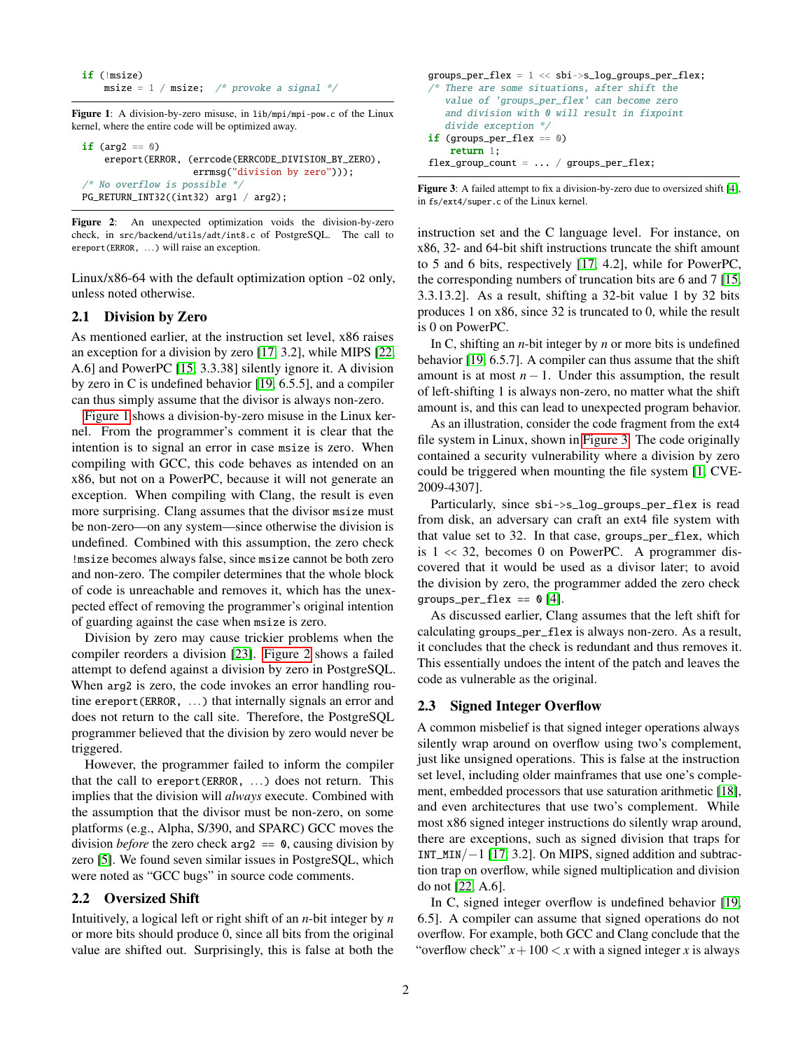```
if (!msize)
   msize = 1 / msize; /* provoke a signal */
```
<span id="page-1-0"></span>Figure 1: A division-by-zero misuse, in lib/mpi/mpi-pow.c of the Linux kernel, where the entire code will be optimized away.

```
if (\text{arg2} == 0)ereport(ERROR, (errcode(ERRCODE_DIVISION_BY_ZERO),
                     errmsg("division by zero")));
/* No overflow is possible */
PG_RETURN_INT32((int32) arg1 / arg2);
```
<span id="page-1-1"></span>Figure 2: An unexpected optimization voids the division-by-zero check, in src/backend/utils/adt/int8.c of PostgreSQL. The call to ereport(ERROR, ...) will raise an exception.

Linux/x86-64 with the default optimization option -O2 only, unless noted otherwise.

#### 2.1 Division by Zero

As mentioned earlier, at the instruction set level, x86 raises an exception for a division by zero [\[17,](#page-5-0) 3.2], while MIPS [\[22,](#page-5-5) A.6] and PowerPC [\[15,](#page-5-1) 3.3.38] silently ignore it. A division by zero in C is undefined behavior [\[19,](#page-5-2) 6.5.5], and a compiler can thus simply assume that the divisor is always non-zero.

[Figure 1](#page-1-0) shows a division-by-zero misuse in the Linux kernel. From the programmer's comment it is clear that the intention is to signal an error in case msize is zero. When compiling with GCC, this code behaves as intended on an x86, but not on a PowerPC, because it will not generate an exception. When compiling with Clang, the result is even more surprising. Clang assumes that the divisor msize must be non-zero—on any system—since otherwise the division is undefined. Combined with this assumption, the zero check !msize becomes always false, since msize cannot be both zero and non-zero. The compiler determines that the whole block of code is unreachable and removes it, which has the unexpected effect of removing the programmer's original intention of guarding against the case when msize is zero.

Division by zero may cause trickier problems when the compiler reorders a division [\[23\]](#page-5-6). [Figure 2](#page-1-1) shows a failed attempt to defend against a division by zero in PostgreSQL. When arg2 is zero, the code invokes an error handling routine ereport(ERROR, ...) that internally signals an error and does not return to the call site. Therefore, the PostgreSQL programmer believed that the division by zero would never be triggered.

However, the programmer failed to inform the compiler that the call to ereport(ERROR, ...) does not return. This implies that the division will *always* execute. Combined with the assumption that the divisor must be non-zero, on some platforms (e.g., Alpha, S/390, and SPARC) GCC moves the division *before* the zero check arg2 == 0, causing division by zero [\[5\]](#page-5-7). We found seven similar issues in PostgreSQL, which were noted as "GCC bugs" in source code comments.

## 2.2 Oversized Shift

Intuitively, a logical left or right shift of an *n*-bit integer by *n* or more bits should produce 0, since all bits from the original value are shifted out. Surprisingly, this is false at both the

```
groups_per_flex = 1 \ll sbi->s_log_groups_per_flex;
/* There are some situations, after shift the
   value of 'groups_per_flex' can become zero
   and division with 0 will result in fixpoint
   divide exception */
if (groups_per_flex == 0)
   return 1;
flex\_group\_count = ... / groups\_per\_flex;
```
<span id="page-1-2"></span>Figure 3: A failed attempt to fix a division-by-zero due to oversized shift [\[4\]](#page-5-8), in fs/ext4/super.c of the Linux kernel.

instruction set and the C language level. For instance, on x86, 32- and 64-bit shift instructions truncate the shift amount to 5 and 6 bits, respectively [\[17,](#page-5-0) 4.2], while for PowerPC, the corresponding numbers of truncation bits are 6 and 7 [\[15,](#page-5-1) 3.3.13.2]. As a result, shifting a 32-bit value 1 by 32 bits produces 1 on x86, since 32 is truncated to 0, while the result is 0 on PowerPC.

In C, shifting an *n*-bit integer by *n* or more bits is undefined behavior [\[19,](#page-5-2) 6.5.7]. A compiler can thus assume that the shift amount is at most  $n - 1$ . Under this assumption, the result of left-shifting 1 is always non-zero, no matter what the shift amount is, and this can lead to unexpected program behavior.

As an illustration, consider the code fragment from the ext4 file system in Linux, shown in [Figure 3.](#page-1-2) The code originally contained a security vulnerability where a division by zero could be triggered when mounting the file system [\[1,](#page-5-9) CVE-2009-4307].

Particularly, since sbi->s\_log\_groups\_per\_flex is read from disk, an adversary can craft an ext4 file system with that value set to 32. In that case, groups\_per\_flex, which is 1 << 32, becomes 0 on PowerPC. A programmer discovered that it would be used as a divisor later; to avoid the division by zero, the programmer added the zero check groups\_per\_flex ==  $\theta$  [\[4\]](#page-5-8).

As discussed earlier, Clang assumes that the left shift for calculating groups\_per\_flex is always non-zero. As a result, it concludes that the check is redundant and thus removes it. This essentially undoes the intent of the patch and leaves the code as vulnerable as the original.

## 2.3 Signed Integer Overflow

A common misbelief is that signed integer operations always silently wrap around on overflow using two's complement, just like unsigned operations. This is false at the instruction set level, including older mainframes that use one's complement, embedded processors that use saturation arithmetic [\[18\]](#page-5-10), and even architectures that use two's complement. While most x86 signed integer instructions do silently wrap around, there are exceptions, such as signed division that traps for INT\_MIN/−1 [\[17,](#page-5-0) 3.2]. On MIPS, signed addition and subtraction trap on overflow, while signed multiplication and division do not [\[22,](#page-5-5) A.6].

In C, signed integer overflow is undefined behavior [\[19,](#page-5-2) 6.5]. A compiler can assume that signed operations do not overflow. For example, both GCC and Clang conclude that the "overflow check"  $x + 100 < x$  with a signed integer *x* is always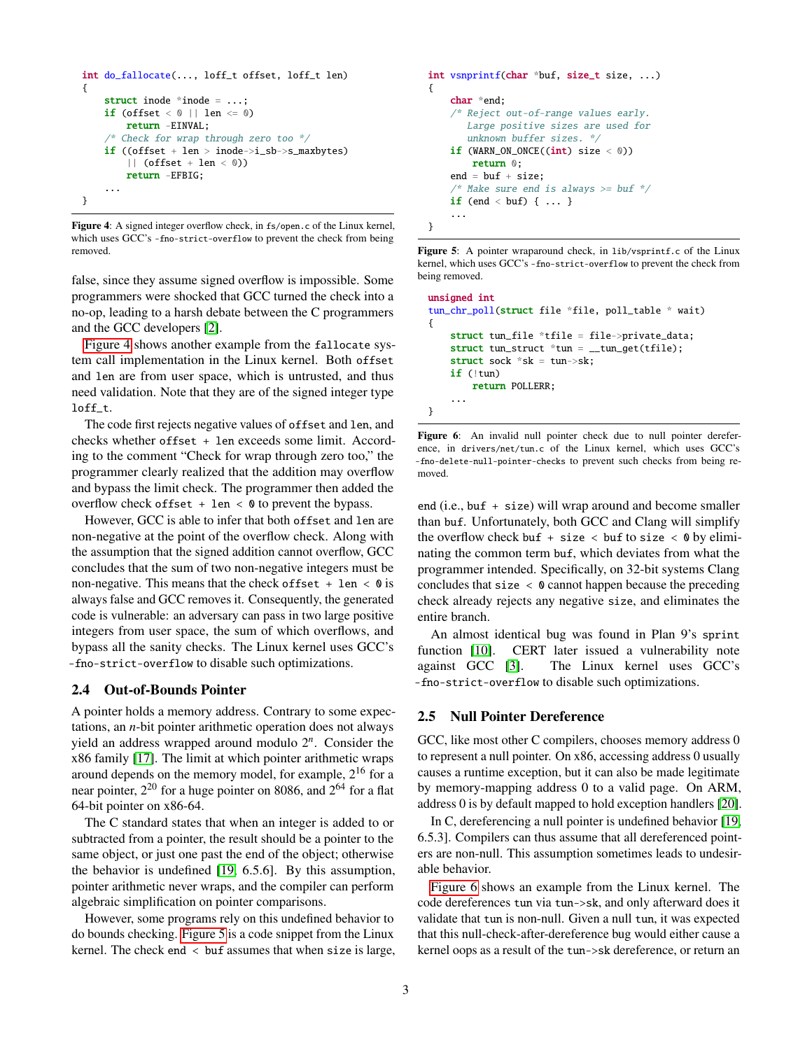```
int do_fallocate(..., loff_t offset, loff_t len)
{
    struct inode *inode = ...;
    if (offset \langle 0 | 1 len \langle 0 | 0 \ranglereturn -EINVAL;
       /* Check for wrap through zero too */
    if ((offset + len > inode->i_sb->s_maxbytes)
         || (offset + len < 0))
        return -EFBIG;
    ...
}
```
<span id="page-2-0"></span>Figure 4: A signed integer overflow check, in fs/open.c of the Linux kernel, which uses GCC's -fno-strict-overflow to prevent the check from being removed.

false, since they assume signed overflow is impossible. Some programmers were shocked that GCC turned the check into a no-op, leading to a harsh debate between the C programmers and the GCC developers [\[2\]](#page-5-11).

[Figure 4](#page-2-0) shows another example from the fallocate system call implementation in the Linux kernel. Both offset and len are from user space, which is untrusted, and thus need validation. Note that they are of the signed integer type loff\_t.

The code first rejects negative values of offset and len, and checks whether offset + len exceeds some limit. According to the comment "Check for wrap through zero too," the programmer clearly realized that the addition may overflow and bypass the limit check. The programmer then added the overflow check offset  $+$  len  $\lt$  0 to prevent the bypass.

However, GCC is able to infer that both offset and len are non-negative at the point of the overflow check. Along with the assumption that the signed addition cannot overflow, GCC concludes that the sum of two non-negative integers must be non-negative. This means that the check of fset  $+$  len  $<$  0 is always false and GCC removes it. Consequently, the generated code is vulnerable: an adversary can pass in two large positive integers from user space, the sum of which overflows, and bypass all the sanity checks. The Linux kernel uses GCC's -fno-strict-overflow to disable such optimizations.

#### 2.4 Out-of-Bounds Pointer

A pointer holds a memory address. Contrary to some expectations, an *n*-bit pointer arithmetic operation does not always yield an address wrapped around modulo 2 *n* . Consider the x86 family [\[17\]](#page-5-0). The limit at which pointer arithmetic wraps around depends on the memory model, for example,  $2^{16}$  for a near pointer,  $2^{20}$  for a huge pointer on 8086, and  $2^{64}$  for a flat 64-bit pointer on x86-64.

The C standard states that when an integer is added to or subtracted from a pointer, the result should be a pointer to the same object, or just one past the end of the object; otherwise the behavior is undefined [\[19,](#page-5-2) 6.5.6]. By this assumption, pointer arithmetic never wraps, and the compiler can perform algebraic simplification on pointer comparisons.

However, some programs rely on this undefined behavior to do bounds checking. [Figure 5](#page-2-1) is a code snippet from the Linux kernel. The check end < buf assumes that when size is large,

```
int vsnprintf(char *buf, size_t size, ...)
{
    char *end;
    /* Reject out-of-range values early.
       Large positive sizes are used for
       unknown buffer sizes. */
    if (WARN_ON_ONCE((int) size < 0))return 0;
    end = but f + size:\frac{1}{x} Make sure end is always >= buf \frac{x}{x}if (end < buf) { \ldots }
    ...
}
```
<span id="page-2-1"></span>Figure 5: A pointer wraparound check, in lib/vsprintf.c of the Linux kernel, which uses GCC's -fno-strict-overflow to prevent the check from being removed.

```
unsigned int
tun_chr_poll(struct file *file, poll_table * wait)
{
    struct tun_file *tfile = file->private_data;
    struct tun_struct *tun = __tun_get(tfile);
    struct sock *sk = tun->sk;
    if (!tun)
        return POLLERR;
    ...
}
```
<span id="page-2-2"></span>Figure 6: An invalid null pointer check due to null pointer dereference, in drivers/net/tun.c of the Linux kernel, which uses GCC's -fno-delete-null-pointer-checks to prevent such checks from being removed.

end (i.e., buf + size) will wrap around and become smaller than buf. Unfortunately, both GCC and Clang will simplify the overflow check buf + size < buf to size <  $\theta$  by eliminating the common term buf, which deviates from what the programmer intended. Specifically, on 32-bit systems Clang concludes that size  $\langle \mathbf{0} \rangle$  cannot happen because the preceding check already rejects any negative size, and eliminates the entire branch.

An almost identical bug was found in Plan 9's sprint function [\[10\]](#page-5-12). CERT later issued a vulnerability note against GCC [\[3\]](#page-5-13). The Linux kernel uses GCC's -fno-strict-overflow to disable such optimizations.

#### 2.5 Null Pointer Dereference

GCC, like most other C compilers, chooses memory address 0 to represent a null pointer. On x86, accessing address 0 usually causes a runtime exception, but it can also be made legitimate by memory-mapping address 0 to a valid page. On ARM, address 0 is by default mapped to hold exception handlers [\[20\]](#page-5-14).

In C, dereferencing a null pointer is undefined behavior [\[19,](#page-5-2) 6.5.3]. Compilers can thus assume that all dereferenced pointers are non-null. This assumption sometimes leads to undesirable behavior.

[Figure 6](#page-2-2) shows an example from the Linux kernel. The code dereferences tun via tun->sk, and only afterward does it validate that tun is non-null. Given a null tun, it was expected that this null-check-after-dereference bug would either cause a kernel oops as a result of the tun->sk dereference, or return an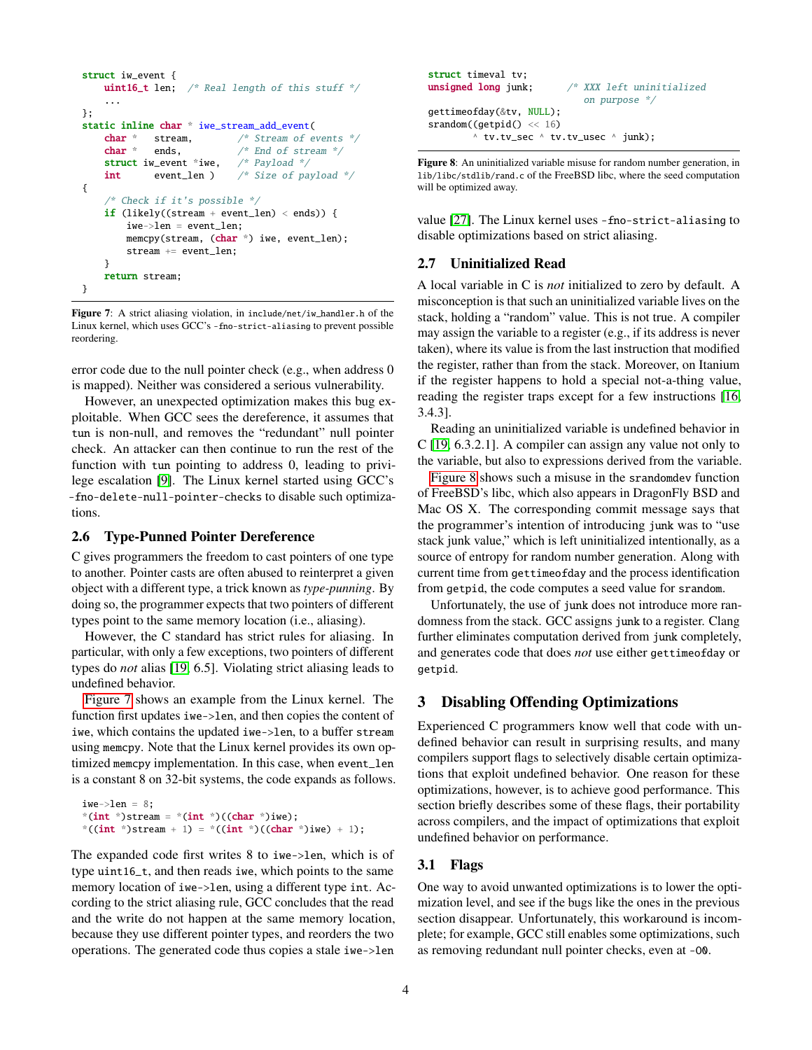```
struct iw_event {
   uint16_t len; /* Real length of this stuff */...
};
static inline char * iwe_stream_add_event(
   char * stream, /* Stream of events */char * ends, \frac{1}{2} end of stream *struct iw_event *iwe, /* Payload */
   int event_len ) /* Size of payload */
{
    /* Check if it's possible */
   if (likely((stream + event_len) < ends)) {
       iwe->len = event_len;
       memcpy(stream, (char * ) iwe, event_len);
       stream += event_len;
   }
   return stream;
}
```
<span id="page-3-0"></span>Figure 7: A strict aliasing violation, in include/net/iw\_handler.h of the Linux kernel, which uses GCC's -fno-strict-aliasing to prevent possible reordering.

error code due to the null pointer check (e.g., when address 0 is mapped). Neither was considered a serious vulnerability.

However, an unexpected optimization makes this bug exploitable. When GCC sees the dereference, it assumes that tun is non-null, and removes the "redundant" null pointer check. An attacker can then continue to run the rest of the function with tun pointing to address 0, leading to privilege escalation [\[9\]](#page-5-15). The Linux kernel started using GCC's -fno-delete-null-pointer-checks to disable such optimizations.

#### 2.6 Type-Punned Pointer Dereference

C gives programmers the freedom to cast pointers of one type to another. Pointer casts are often abused to reinterpret a given object with a different type, a trick known as *type-punning*. By doing so, the programmer expects that two pointers of different types point to the same memory location (i.e., aliasing).

However, the C standard has strict rules for aliasing. In particular, with only a few exceptions, two pointers of different types do *not* alias [\[19,](#page-5-2) 6.5]. Violating strict aliasing leads to undefined behavior.

[Figure 7](#page-3-0) shows an example from the Linux kernel. The function first updates iwe->len, and then copies the content of iwe, which contains the updated iwe->len, to a buffer stream using memcpy. Note that the Linux kernel provides its own optimized memcpy implementation. In this case, when event\_len is a constant 8 on 32-bit systems, the code expands as follows.

```
iwe->len = 8;
*(int * )stream = *(int * )((char * )iwe);*((int *)stream + 1) = *((int *)((char *)iwe) + 1);
```
The expanded code first writes 8 to iwe->len, which is of type uint16\_t, and then reads iwe, which points to the same memory location of iwe->len, using a different type int. According to the strict aliasing rule, GCC concludes that the read and the write do not happen at the same memory location, because they use different pointer types, and reorders the two operations. The generated code thus copies a stale iwe->len

```
struct timeval tv;
unsigned long junk; \frac{1}{2} XXX left uninitialized
                              on purpose */
gettimeofday(&tv, NULL);
srandom((getpid() << 16)
         tv.tv_sec \wedge tv.tv_usec \wedge junk);
```
<span id="page-3-1"></span>Figure 8: An uninitialized variable misuse for random number generation, in lib/libc/stdlib/rand.c of the FreeBSD libc, where the seed computation will be optimized away.

value [\[27\]](#page-5-16). The Linux kernel uses -fno-strict-aliasing to disable optimizations based on strict aliasing.

## 2.7 Uninitialized Read

A local variable in C is *not* initialized to zero by default. A misconception is that such an uninitialized variable lives on the stack, holding a "random" value. This is not true. A compiler may assign the variable to a register (e.g., if its address is never taken), where its value is from the last instruction that modified the register, rather than from the stack. Moreover, on Itanium if the register happens to hold a special not-a-thing value, reading the register traps except for a few instructions [\[16,](#page-5-17) 3.4.3].

Reading an uninitialized variable is undefined behavior in C [\[19,](#page-5-2) 6.3.2.1]. A compiler can assign any value not only to the variable, but also to expressions derived from the variable.

[Figure 8](#page-3-1) shows such a misuse in the srandomdev function of FreeBSD's libc, which also appears in DragonFly BSD and Mac OS X. The corresponding commit message says that the programmer's intention of introducing junk was to "use stack junk value," which is left uninitialized intentionally, as a source of entropy for random number generation. Along with current time from gettimeofday and the process identification from getpid, the code computes a seed value for srandom.

Unfortunately, the use of junk does not introduce more randomness from the stack. GCC assigns junk to a register. Clang further eliminates computation derived from junk completely, and generates code that does *not* use either gettimeofday or getpid.

#### 3 Disabling Offending Optimizations

Experienced C programmers know well that code with undefined behavior can result in surprising results, and many compilers support flags to selectively disable certain optimizations that exploit undefined behavior. One reason for these optimizations, however, is to achieve good performance. This section briefly describes some of these flags, their portability across compilers, and the impact of optimizations that exploit undefined behavior on performance.

#### 3.1 Flags

One way to avoid unwanted optimizations is to lower the optimization level, and see if the bugs like the ones in the previous section disappear. Unfortunately, this workaround is incomplete; for example, GCC still enables some optimizations, such as removing redundant null pointer checks, even at -O0.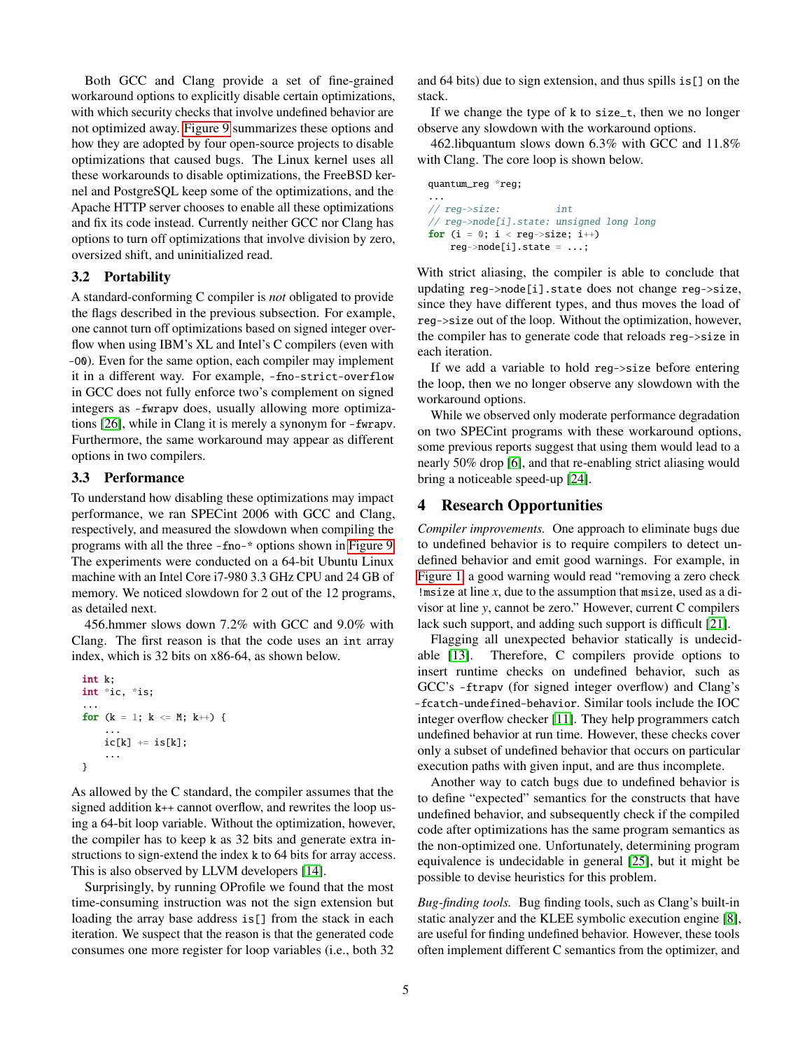Both GCC and Clang provide a set of fine-grained workaround options to explicitly disable certain optimizations, with which security checks that involve undefined behavior are not optimized away. [Figure 9](#page-5-18) summarizes these options and how they are adopted by four open-source projects to disable optimizations that caused bugs. The Linux kernel uses all these workarounds to disable optimizations, the FreeBSD kernel and PostgreSQL keep some of the optimizations, and the Apache HTTP server chooses to enable all these optimizations and fix its code instead. Currently neither GCC nor Clang has options to turn off optimizations that involve division by zero, oversized shift, and uninitialized read.

#### 3.2 Portability

A standard-conforming C compiler is *not* obligated to provide the flags described in the previous subsection. For example, one cannot turn off optimizations based on signed integer overflow when using IBM's XL and Intel's C compilers (even with -O0). Even for the same option, each compiler may implement it in a different way. For example, -fno-strict-overflow in GCC does not fully enforce two's complement on signed integers as -fwrapv does, usually allowing more optimizations [\[26\]](#page-5-19), while in Clang it is merely a synonym for -fwrapv. Furthermore, the same workaround may appear as different options in two compilers.

## <span id="page-4-0"></span>3.3 Performance

To understand how disabling these optimizations may impact performance, we ran SPECint 2006 with GCC and Clang, respectively, and measured the slowdown when compiling the programs with all the three -fno-\* options shown in [Figure 9.](#page-5-18) The experiments were conducted on a 64-bit Ubuntu Linux machine with an Intel Core i7-980 3.3 GHz CPU and 24 GB of memory. We noticed slowdown for 2 out of the 12 programs, as detailed next.

456.hmmer slows down 7.2% with GCC and 9.0% with Clang. The first reason is that the code uses an int array index, which is 32 bits on x86-64, as shown below.

```
int k;
int *ic, *is;
...
for (k = 1; k \leq M; k++) {
    ...
    ic[k] += is[k];
    ...
}
```
As allowed by the C standard, the compiler assumes that the signed addition k++ cannot overflow, and rewrites the loop using a 64-bit loop variable. Without the optimization, however, the compiler has to keep k as 32 bits and generate extra instructions to sign-extend the index k to 64 bits for array access. This is also observed by LLVM developers [\[14\]](#page-5-20).

Surprisingly, by running OProfile we found that the most time-consuming instruction was not the sign extension but loading the array base address is[] from the stack in each iteration. We suspect that the reason is that the generated code consumes one more register for loop variables (i.e., both 32 and 64 bits) due to sign extension, and thus spills is[] on the stack.

If we change the type of k to size\_t, then we no longer observe any slowdown with the workaround options.

462.libquantum slows down 6.3% with GCC and 11.8% with Clang. The core loop is shown below.

```
quantum_reg *reg;
...
// reg->size: int
// reg->node[i].state: unsigned long long
for (i = 0; i < reg\rightarrow size; i++)reg->node[i].state = ...;
```
With strict aliasing, the compiler is able to conclude that updating reg->node[i].state does not change reg->size, since they have different types, and thus moves the load of reg->size out of the loop. Without the optimization, however, the compiler has to generate code that reloads reg->size in each iteration.

If we add a variable to hold reg->size before entering the loop, then we no longer observe any slowdown with the workaround options.

While we observed only moderate performance degradation on two SPECint programs with these workaround options, some previous reports suggest that using them would lead to a nearly 50% drop [\[6\]](#page-5-21), and that re-enabling strict aliasing would bring a noticeable speed-up [\[24\]](#page-5-22).

# 4 Research Opportunities

*Compiler improvements.* One approach to eliminate bugs due to undefined behavior is to require compilers to detect undefined behavior and emit good warnings. For example, in [Figure 1,](#page-1-0) a good warning would read "removing a zero check !msize at line *x*, due to the assumption that msize, used as a divisor at line *y*, cannot be zero." However, current C compilers lack such support, and adding such support is difficult [\[21\]](#page-5-23).

Flagging all unexpected behavior statically is undecidable [\[13\]](#page-5-24). Therefore, C compilers provide options to insert runtime checks on undefined behavior, such as GCC's -ftrapv (for signed integer overflow) and Clang's -fcatch-undefined-behavior. Similar tools include the IOC integer overflow checker [\[11\]](#page-5-25). They help programmers catch undefined behavior at run time. However, these checks cover only a subset of undefined behavior that occurs on particular execution paths with given input, and are thus incomplete.

Another way to catch bugs due to undefined behavior is to define "expected" semantics for the constructs that have undefined behavior, and subsequently check if the compiled code after optimizations has the same program semantics as the non-optimized one. Unfortunately, determining program equivalence is undecidable in general [\[25\]](#page-5-26), but it might be possible to devise heuristics for this problem.

*Bug-finding tools.* Bug finding tools, such as Clang's built-in static analyzer and the KLEE symbolic execution engine [\[8\]](#page-5-27), are useful for finding undefined behavior. However, these tools often implement different C semantics from the optimizer, and